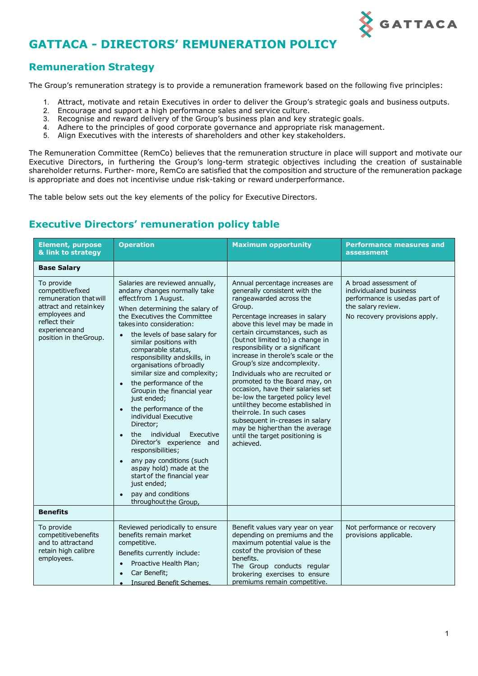

# **GATTACA - DIRECTORS' REMUNERATION POLICY**

### **Remuneration Strategy**

The Group's remuneration strategy is to provide a remuneration framework based on the following five principles:

- 1. Attract, motivate and retain Executives in order to deliver the Group's strategic goals and business outputs.
- 2. Encourage and support a high performance sales and service culture.
- 3. Recognise and reward delivery of the Group's business plan and key strategic goals.
- 4. Adhere to the principles of good corporate governance and appropriate risk management.
- 5. Align Executives with the interests of shareholders and other key stakeholders.

The Remuneration Committee (RemCo) believes that the remuneration structure in place will support and motivate our Executive Directors, in furthering the Group's long-term strategic objectives including the creation of sustainable shareholder returns. Further- more, RemCo are satisfied that the composition and structure of the remuneration package is appropriate and does not incentivise undue risk-taking or reward underperformance.

The table below sets out the key elements of the policy for Executive Directors.

## **Executive Directors' remuneration policy table**

| <b>Element, purpose</b><br>& link to strategy                                                                                                                                      | <b>Operation</b>                                                                                                                                                                                                                                                                                                                                                                                                                                                                                                                                                                                                                                                                                                                                                | <b>Maximum opportunity</b>                                                                                                                                                                                                                                                                                                                                                                                                                                                                                                                                                                                                                                                                | <b>Performance measures and</b><br>assessment                                                                                             |
|------------------------------------------------------------------------------------------------------------------------------------------------------------------------------------|-----------------------------------------------------------------------------------------------------------------------------------------------------------------------------------------------------------------------------------------------------------------------------------------------------------------------------------------------------------------------------------------------------------------------------------------------------------------------------------------------------------------------------------------------------------------------------------------------------------------------------------------------------------------------------------------------------------------------------------------------------------------|-------------------------------------------------------------------------------------------------------------------------------------------------------------------------------------------------------------------------------------------------------------------------------------------------------------------------------------------------------------------------------------------------------------------------------------------------------------------------------------------------------------------------------------------------------------------------------------------------------------------------------------------------------------------------------------------|-------------------------------------------------------------------------------------------------------------------------------------------|
| <b>Base Salary</b>                                                                                                                                                                 |                                                                                                                                                                                                                                                                                                                                                                                                                                                                                                                                                                                                                                                                                                                                                                 |                                                                                                                                                                                                                                                                                                                                                                                                                                                                                                                                                                                                                                                                                           |                                                                                                                                           |
| To provide<br>competitivefixed<br>remuneration that will<br>attract and retainkey<br>employees and<br>reflect their<br>experience and<br>position in the Group.<br><b>Benefits</b> | Salaries are reviewed annually,<br>andany changes normally take<br>effectfrom 1 August.<br>When determining the salary of<br>the Executives the Committee<br>takes into consideration:<br>the levels of base salary for<br>similar positions with<br>comparable status,<br>responsibility and skills, in<br>organisations of broadly<br>similar size and complexity;<br>the performance of the<br>Groupin the financial year<br>just ended;<br>the performance of the<br>individual Executive<br>Director;<br>individual<br>Executive<br>the<br>$\bullet$<br>Director's experience and<br>responsibilities;<br>any pay conditions (such<br>aspay hold) made at the<br>start of the financial year<br>just ended;<br>pay and conditions<br>throughout the Group, | Annual percentage increases are<br>generally consistent with the<br>rangeawarded across the<br>Group.<br>Percentage increases in salary<br>above this level may be made in<br>certain circumstances, such as<br>(butnot limited to) a change in<br>responsibility or a significant<br>increase in therole's scale or the<br>Group's size and complexity.<br>Individuals who are recruited or<br>promoted to the Board may, on<br>occasion, have their salaries set<br>be-low the targeted policy level<br>untilthey become established in<br>theirrole. In such cases<br>subsequent in-creases in salary<br>may be higherthan the average<br>until the target positioning is<br>achieved. | A broad assessment of<br>individual and business<br>performance is used as part of<br>the salary review.<br>No recovery provisions apply. |
| To provide<br>competitivebenefits<br>and to attractand<br>retain high calibre<br>employees.                                                                                        | Reviewed periodically to ensure<br>benefits remain market<br>competitive.<br>Benefits currently include:<br>Proactive Health Plan;<br>$\bullet$<br>Car Benefit;<br>$\bullet$<br><b>Insured Benefit Schemes</b>                                                                                                                                                                                                                                                                                                                                                                                                                                                                                                                                                  | Benefit values vary year on year<br>depending on premiums and the<br>maximum potential value is the<br>costof the provision of these<br>benefits.<br>The Group conducts regular<br>brokering exercises to ensure<br>premiums remain competitive.                                                                                                                                                                                                                                                                                                                                                                                                                                          | Not performance or recovery<br>provisions applicable.                                                                                     |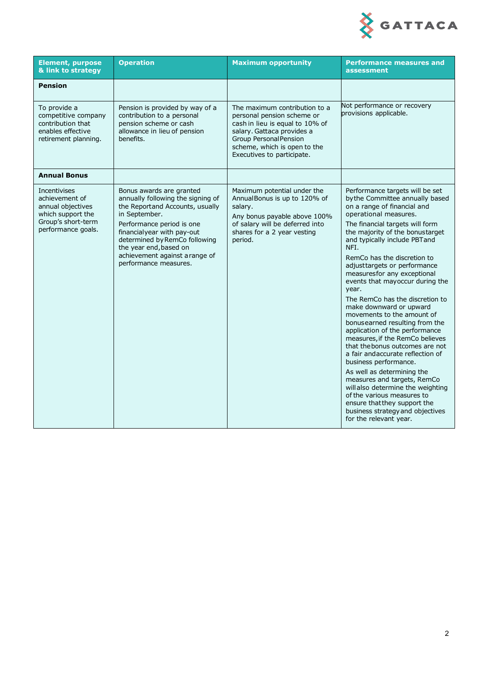

| <b>Element, purpose</b><br>& link to strategy                                                                               | <b>Operation</b>                                                                                                                                                                                                                                                                                   | <b>Maximum opportunity</b>                                                                                                                                                                                                  | <b>Performance measures and</b><br>assessment                                                                                                                                                                                                                                                                                                                                                                                                                                                                                                                                                                                                                                                                                                                                                                                                                                                                         |
|-----------------------------------------------------------------------------------------------------------------------------|----------------------------------------------------------------------------------------------------------------------------------------------------------------------------------------------------------------------------------------------------------------------------------------------------|-----------------------------------------------------------------------------------------------------------------------------------------------------------------------------------------------------------------------------|-----------------------------------------------------------------------------------------------------------------------------------------------------------------------------------------------------------------------------------------------------------------------------------------------------------------------------------------------------------------------------------------------------------------------------------------------------------------------------------------------------------------------------------------------------------------------------------------------------------------------------------------------------------------------------------------------------------------------------------------------------------------------------------------------------------------------------------------------------------------------------------------------------------------------|
| <b>Pension</b>                                                                                                              |                                                                                                                                                                                                                                                                                                    |                                                                                                                                                                                                                             |                                                                                                                                                                                                                                                                                                                                                                                                                                                                                                                                                                                                                                                                                                                                                                                                                                                                                                                       |
| To provide a<br>competitive company<br>contribution that<br>enables effective<br>retirement planning.                       | Pension is provided by way of a<br>contribution to a personal<br>pension scheme or cash<br>allowance in lieu of pension<br>benefits.                                                                                                                                                               | The maximum contribution to a<br>personal pension scheme or<br>cash in lieu is equal to 10% of<br>salary. Gattaca provides a<br><b>Group Personal Pension</b><br>scheme, which is open to the<br>Executives to participate. | Not performance or recovery<br>provisions applicable.                                                                                                                                                                                                                                                                                                                                                                                                                                                                                                                                                                                                                                                                                                                                                                                                                                                                 |
| <b>Annual Bonus</b>                                                                                                         |                                                                                                                                                                                                                                                                                                    |                                                                                                                                                                                                                             |                                                                                                                                                                                                                                                                                                                                                                                                                                                                                                                                                                                                                                                                                                                                                                                                                                                                                                                       |
| <b>Incentivises</b><br>achievement of<br>annual objectives<br>which support the<br>Group's short-term<br>performance goals. | Bonus awards are granted<br>annually following the signing of<br>the Reportand Accounts, usually<br>in September.<br>Performance period is one<br>financialyear with pay-out<br>determined by RemCo following<br>the year end, based on<br>achievement against a range of<br>performance measures. | Maximum potential under the<br>Annual Bonus is up to 120% of<br>salary.<br>Any bonus payable above 100%<br>of salary will be deferred into<br>shares for a 2 year vesting<br>period.                                        | Performance targets will be set<br>by the Committee annually based<br>on a range of financial and<br>operational measures.<br>The financial targets will form<br>the majority of the bonustarget<br>and typically include PBT and<br>NFI.<br>RemCo has the discretion to<br>adjusttargets or performance<br>measuresfor any exceptional<br>events that mayoccur during the<br>year.<br>The RemCo has the discretion to<br>make downward or upward<br>movements to the amount of<br>bonus earned resulting from the<br>application of the performance<br>measures, if the RemCo believes<br>that the bonus outcomes are not<br>a fair andaccurate reflection of<br>business performance.<br>As well as determining the<br>measures and targets, RemCo<br>will also determine the weighting<br>of the various measures to<br>ensure that they support the<br>business strategy and objectives<br>for the relevant year. |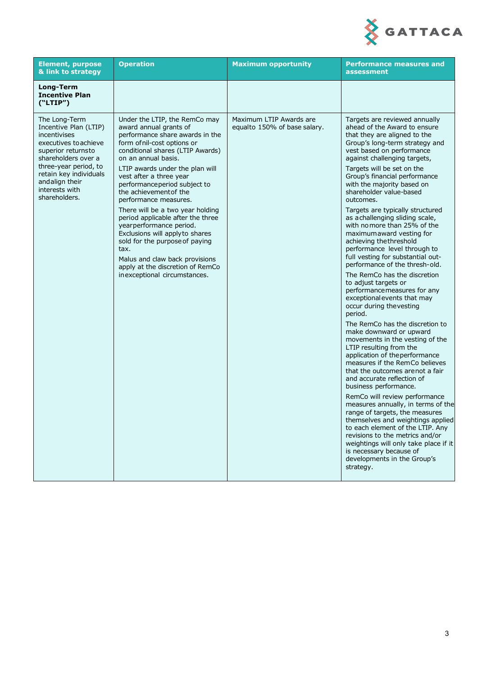

| <b>Element, purpose</b><br>& link to strategy                                                                                                                                                                                        | <b>Operation</b>                                                                                                                                                                                                                                                                                                                                                                                                                                                                                                                                                                                                            | <b>Maximum opportunity</b>                              | <b>Performance measures and</b><br>assessment                                                                                                                                                                                                                                                                                                                                                                                                                                                                                                                                                                                                                                                                                                                                                                                                                                                                                                                                                                                                                                                                                                                                                                                                                                                                                                                                                     |
|--------------------------------------------------------------------------------------------------------------------------------------------------------------------------------------------------------------------------------------|-----------------------------------------------------------------------------------------------------------------------------------------------------------------------------------------------------------------------------------------------------------------------------------------------------------------------------------------------------------------------------------------------------------------------------------------------------------------------------------------------------------------------------------------------------------------------------------------------------------------------------|---------------------------------------------------------|---------------------------------------------------------------------------------------------------------------------------------------------------------------------------------------------------------------------------------------------------------------------------------------------------------------------------------------------------------------------------------------------------------------------------------------------------------------------------------------------------------------------------------------------------------------------------------------------------------------------------------------------------------------------------------------------------------------------------------------------------------------------------------------------------------------------------------------------------------------------------------------------------------------------------------------------------------------------------------------------------------------------------------------------------------------------------------------------------------------------------------------------------------------------------------------------------------------------------------------------------------------------------------------------------------------------------------------------------------------------------------------------------|
| Long-Term<br><b>Incentive Plan</b><br>("LTIP")                                                                                                                                                                                       |                                                                                                                                                                                                                                                                                                                                                                                                                                                                                                                                                                                                                             |                                                         |                                                                                                                                                                                                                                                                                                                                                                                                                                                                                                                                                                                                                                                                                                                                                                                                                                                                                                                                                                                                                                                                                                                                                                                                                                                                                                                                                                                                   |
| The Long-Term<br>Incentive Plan (LTIP)<br>incentivises<br>executives to achieve<br>superior returnsto<br>shareholders over a<br>three-year period, to<br>retain key individuals<br>andalign their<br>interests with<br>shareholders. | Under the LTIP, the RemCo may<br>award annual grants of<br>performance share awards in the<br>form of nil-cost options or<br>conditional shares (LTIP Awards)<br>on an annual basis.<br>LTIP awards under the plan will<br>vest after a three year<br>performanceperiod subject to<br>the achievementof the<br>performance measures.<br>There will be a two year holding<br>period applicable after the three<br>yearperformance period.<br>Exclusions will applyto shares<br>sold for the purpose of paying<br>tax.<br>Malus and claw back provisions<br>apply at the discretion of RemCo<br>in exceptional circumstances. | Maximum LTIP Awards are<br>equalto 150% of base salary. | Targets are reviewed annually<br>ahead of the Award to ensure<br>that they are aligned to the<br>Group's long-term strategy and<br>vest based on performance<br>against challenging targets,<br>Targets will be set on the<br>Group's financial performance<br>with the majority based on<br>shareholder value-based<br>outcomes.<br>Targets are typically structured<br>as achallenging sliding scale,<br>with nomore than 25% of the<br>maximum award vesting for<br>achieving the threshold<br>performance level through to<br>full vesting for substantial out-<br>performance of the thresh-old.<br>The RemCo has the discretion<br>to adjust targets or<br>performance measures for any<br>exceptional events that may<br>occur during thevesting<br>period.<br>The RemCo has the discretion to<br>make downward or upward<br>movements in the vesting of the<br>LTIP resulting from the<br>application of the performance<br>measures if the RemCo believes<br>that the outcomes arenot a fair<br>and accurate reflection of<br>business performance.<br>RemCo will review performance<br>measures annually, in terms of the<br>range of targets, the measures<br>themselves and weightings applied<br>to each element of the LTIP. Any<br>revisions to the metrics and/or<br>weightings will only take place if it<br>is necessary because of<br>developments in the Group's<br>strategy. |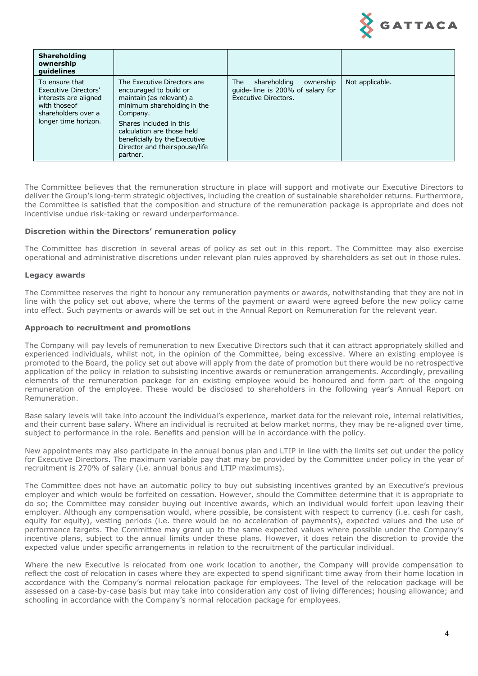

| <b>Shareholding</b><br>ownership<br>quidelines                                                                                  |                                                                                                                                                                                                                                                                      |                                                                                              |                 |
|---------------------------------------------------------------------------------------------------------------------------------|----------------------------------------------------------------------------------------------------------------------------------------------------------------------------------------------------------------------------------------------------------------------|----------------------------------------------------------------------------------------------|-----------------|
| To ensure that<br>Executive Directors'<br>interests are aligned<br>with those of<br>shareholders over a<br>longer time horizon. | The Executive Directors are<br>encouraged to build or<br>maintain (as relevant) a<br>minimum shareholding in the<br>Company.<br>Shares included in this<br>calculation are those held<br>beneficially by the Executive<br>Director and their spouse/life<br>partner. | shareholding<br>ownership<br>The<br>quide-line is 200% of salary for<br>Executive Directors. | Not applicable. |

The Committee believes that the remuneration structure in place will support and motivate our Executive Directors to deliver the Group's long-term strategic objectives, including the creation of sustainable shareholder returns. Furthermore, the Committee is satisfied that the composition and structure of the remuneration package is appropriate and does not incentivise undue risk-taking or reward underperformance.

#### **Discretion within the Directors' remuneration policy**

The Committee has discretion in several areas of policy as set out in this report. The Committee may also exercise operational and administrative discretions under relevant plan rules approved by shareholders as set out in those rules.

#### **Legacy awards**

The Committee reserves the right to honour any remuneration payments or awards, notwithstanding that they are not in line with the policy set out above, where the terms of the payment or award were agreed before the new policy came into effect. Such payments or awards will be set out in the Annual Report on Remuneration for the relevant year.

#### **Approach to recruitment and promotions**

The Company will pay levels of remuneration to new Executive Directors such that it can attract appropriately skilled and experienced individuals, whilst not, in the opinion of the Committee, being excessive. Where an existing employee is promoted to the Board, the policy set out above will apply from the date of promotion but there would be no retrospective application of the policy in relation to subsisting incentive awards or remuneration arrangements. Accordingly, prevailing elements of the remuneration package for an existing employee would be honoured and form part of the ongoing remuneration of the employee. These would be disclosed to shareholders in the following year's Annual Report on Remuneration.

Base salary levels will take into account the individual's experience, market data for the relevant role, internal relativities, and their current base salary. Where an individual is recruited at below market norms, they may be re-aligned over time, subject to performance in the role. Benefits and pension will be in accordance with the policy.

New appointments may also participate in the annual bonus plan and LTIP in line with the limits set out under the policy for Executive Directors. The maximum variable pay that may be provided by the Committee under policy in the year of recruitment is 270% of salary (i.e. annual bonus and LTIP maximums).

The Committee does not have an automatic policy to buy out subsisting incentives granted by an Executive's previous employer and which would be forfeited on cessation. However, should the Committee determine that it is appropriate to do so; the Committee may consider buying out incentive awards, which an individual would forfeit upon leaving their employer. Although any compensation would, where possible, be consistent with respect to currency (i.e. cash for cash, equity for equity), vesting periods (i.e. there would be no acceleration of payments), expected values and the use of performance targets. The Committee may grant up to the same expected values where possible under the Company's incentive plans, subject to the annual limits under these plans. However, it does retain the discretion to provide the expected value under specific arrangements in relation to the recruitment of the particular individual.

Where the new Executive is relocated from one work location to another, the Company will provide compensation to reflect the cost of relocation in cases where they are expected to spend significant time away from their home location in accordance with the Company's normal relocation package for employees. The level of the relocation package will be assessed on a case-by-case basis but may take into consideration any cost of living differences; housing allowance; and schooling in accordance with the Company's normal relocation package for employees.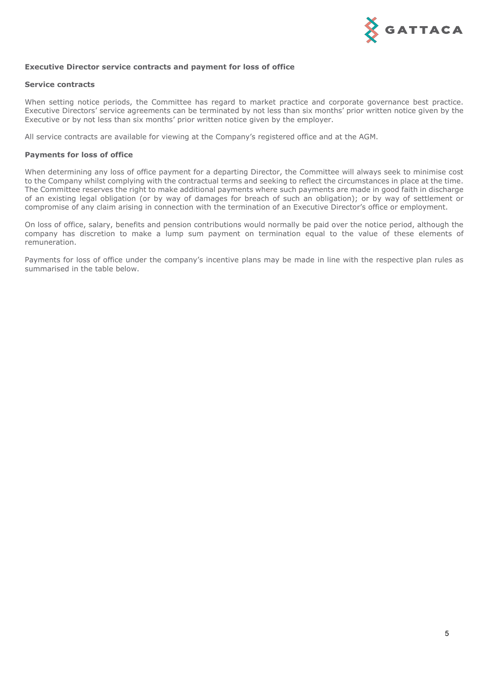

#### **Executive Director service contracts and payment for loss of office**

#### **Service contracts**

When setting notice periods, the Committee has regard to market practice and corporate governance best practice. Executive Directors' service agreements can be terminated by not less than six months' prior written notice given by the Executive or by not less than six months' prior written notice given by the employer.

All service contracts are available for viewing at the Company's registered office and at the AGM.

#### **Payments for loss of office**

When determining any loss of office payment for a departing Director, the Committee will always seek to minimise cost to the Company whilst complying with the contractual terms and seeking to reflect the circumstances in place at the time. The Committee reserves the right to make additional payments where such payments are made in good faith in discharge of an existing legal obligation (or by way of damages for breach of such an obligation); or by way of settlement or compromise of any claim arising in connection with the termination of an Executive Director's office or employment.

On loss of office, salary, benefits and pension contributions would normally be paid over the notice period, although the company has discretion to make a lump sum payment on termination equal to the value of these elements of remuneration.

Payments for loss of office under the company's incentive plans may be made in line with the respective plan rules as summarised in the table below.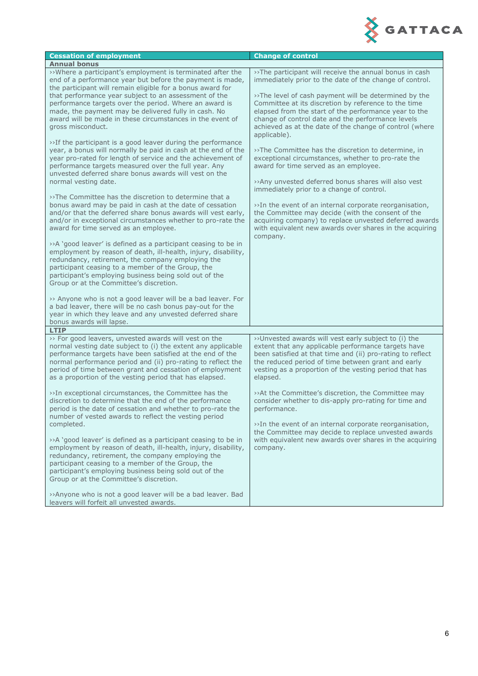

| <b>Cessation of employment</b>                                                                                                                                                                                                                                                                                                                                            | <b>Change of control</b>                                                                                                                                                                                                                                                                               |
|---------------------------------------------------------------------------------------------------------------------------------------------------------------------------------------------------------------------------------------------------------------------------------------------------------------------------------------------------------------------------|--------------------------------------------------------------------------------------------------------------------------------------------------------------------------------------------------------------------------------------------------------------------------------------------------------|
| <b>Annual bonus</b>                                                                                                                                                                                                                                                                                                                                                       |                                                                                                                                                                                                                                                                                                        |
| >>Where a participant's employment is terminated after the<br>end of a performance year but before the payment is made,<br>the participant will remain eligible for a bonus award for                                                                                                                                                                                     | >>The participant will receive the annual bonus in cash<br>immediately prior to the date of the change of control.                                                                                                                                                                                     |
| that performance year subject to an assessment of the<br>performance targets over the period. Where an award is<br>made, the payment may be delivered fully in cash. No<br>award will be made in these circumstances in the event of<br>gross misconduct.                                                                                                                 | >>The level of cash payment will be determined by the<br>Committee at its discretion by reference to the time<br>elapsed from the start of the performance year to the<br>change of control date and the performance levels<br>achieved as at the date of the change of control (where<br>applicable). |
| >>If the participant is a good leaver during the performance<br>year, a bonus will normally be paid in cash at the end of the<br>year pro-rated for length of service and the achievement of<br>performance targets measured over the full year. Any<br>unvested deferred share bonus awards will vest on the<br>normal vesting date.                                     | >>The Committee has the discretion to determine, in<br>exceptional circumstances, whether to pro-rate the<br>award for time served as an employee.<br>>>Any unvested deferred bonus shares will also vest                                                                                              |
| >>The Committee has the discretion to determine that a                                                                                                                                                                                                                                                                                                                    | immediately prior to a change of control.                                                                                                                                                                                                                                                              |
| bonus award may be paid in cash at the date of cessation<br>and/or that the deferred share bonus awards will vest early,<br>and/or in exceptional circumstances whether to pro-rate the<br>award for time served as an employee.                                                                                                                                          | >>In the event of an internal corporate reorganisation,<br>the Committee may decide (with the consent of the<br>acquiring company) to replace unvested deferred awards<br>with equivalent new awards over shares in the acquiring<br>company.                                                          |
| >>A 'good leaver' is defined as a participant ceasing to be in<br>employment by reason of death, ill-health, injury, disability,<br>redundancy, retirement, the company employing the<br>participant ceasing to a member of the Group, the<br>participant's employing business being sold out of the<br>Group or at the Committee's discretion.                           |                                                                                                                                                                                                                                                                                                        |
| >> Anyone who is not a good leaver will be a bad leaver. For<br>a bad leaver, there will be no cash bonus pay-out for the<br>year in which they leave and any unvested deferred share<br>bonus awards will lapse.                                                                                                                                                         |                                                                                                                                                                                                                                                                                                        |
| <b>LTIP</b>                                                                                                                                                                                                                                                                                                                                                               |                                                                                                                                                                                                                                                                                                        |
| >> For good leavers, unvested awards will vest on the<br>normal vesting date subject to (i) the extent any applicable<br>performance targets have been satisfied at the end of the<br>normal performance period and (ii) pro-rating to reflect the<br>period of time between grant and cessation of employment<br>as a proportion of the vesting period that has elapsed. | >>Unvested awards will vest early subject to (i) the<br>extent that any applicable performance targets have<br>been satisfied at that time and (ii) pro-rating to reflect<br>the reduced period of time between grant and early<br>vesting as a proportion of the vesting period that has<br>elapsed.  |
| >>In exceptional circumstances, the Committee has the<br>discretion to determine that the end of the performance<br>period is the date of cessation and whether to pro-rate the<br>number of vested awards to reflect the vesting period<br>completed.                                                                                                                    | >>At the Committee's discretion, the Committee may<br>consider whether to dis-apply pro-rating for time and<br>performance.<br>>>In the event of an internal corporate reorganisation,                                                                                                                 |
| >>A 'good leaver' is defined as a participant ceasing to be in<br>employment by reason of death, ill-health, injury, disability,<br>redundancy, retirement, the company employing the<br>participant ceasing to a member of the Group, the<br>participant's employing business being sold out of the<br>Group or at the Committee's discretion.                           | the Committee may decide to replace unvested awards<br>with equivalent new awards over shares in the acquiring<br>company.                                                                                                                                                                             |
| >>Anyone who is not a good leaver will be a bad leaver. Bad<br>leavers will forfeit all unvested awards.                                                                                                                                                                                                                                                                  |                                                                                                                                                                                                                                                                                                        |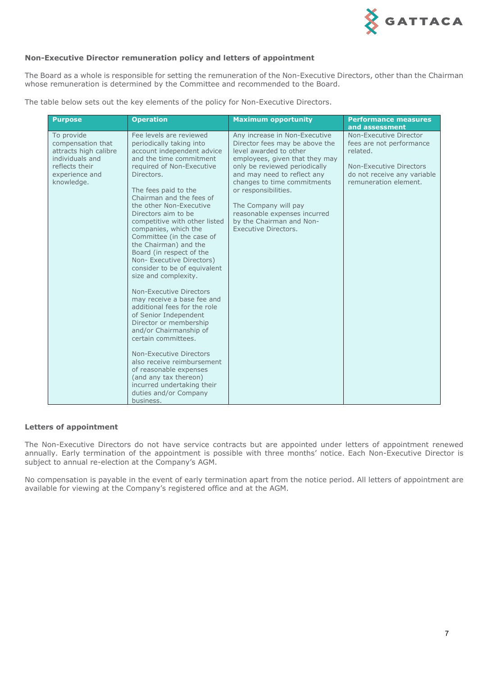

#### **Non-Executive Director remuneration policy and letters of appointment**

The Board as a whole is responsible for setting the remuneration of the Non-Executive Directors, other than the Chairman whose remuneration is determined by the Committee and recommended to the Board.

The table below sets out the key elements of the policy for Non-Executive Directors.

| <b>Purpose</b>                                                                                                                | <b>Operation</b>                                                                                                                                                                                                                                                                                                                                                                                                                                                                                                                                                                                                                                                                                                                                                                                                                                                          | <b>Maximum opportunity</b>                                                                                                                                                                                                                                                                                                                                     | <b>Performance measures</b><br>and assessment                                                                                                     |
|-------------------------------------------------------------------------------------------------------------------------------|---------------------------------------------------------------------------------------------------------------------------------------------------------------------------------------------------------------------------------------------------------------------------------------------------------------------------------------------------------------------------------------------------------------------------------------------------------------------------------------------------------------------------------------------------------------------------------------------------------------------------------------------------------------------------------------------------------------------------------------------------------------------------------------------------------------------------------------------------------------------------|----------------------------------------------------------------------------------------------------------------------------------------------------------------------------------------------------------------------------------------------------------------------------------------------------------------------------------------------------------------|---------------------------------------------------------------------------------------------------------------------------------------------------|
| To provide<br>compensation that<br>attracts high calibre<br>individuals and<br>reflects their<br>experience and<br>knowledge. | Fee levels are reviewed<br>periodically taking into<br>account independent advice<br>and the time commitment<br>required of Non-Executive<br>Directors.<br>The fees paid to the<br>Chairman and the fees of<br>the other Non-Executive<br>Directors aim to be<br>competitive with other listed<br>companies, which the<br>Committee (in the case of<br>the Chairman) and the<br>Board (in respect of the<br>Non-Executive Directors)<br>consider to be of equivalent<br>size and complexity.<br>Non-Executive Directors<br>may receive a base fee and<br>additional fees for the role<br>of Senior Independent<br>Director or membership<br>and/or Chairmanship of<br>certain committees.<br>Non-Executive Directors<br>also receive reimbursement<br>of reasonable expenses<br>(and any tax thereon)<br>incurred undertaking their<br>duties and/or Company<br>business. | Any increase in Non-Executive<br>Director fees may be above the<br>level awarded to other<br>employees, given that they may<br>only be reviewed periodically<br>and may need to reflect any<br>changes to time commitments<br>or responsibilities.<br>The Company will pay<br>reasonable expenses incurred<br>by the Chairman and Non-<br>Executive Directors. | Non-Executive Director<br>fees are not performance<br>related.<br>Non-Executive Directors<br>do not receive any variable<br>remuneration element. |

#### **Letters of appointment**

The Non-Executive Directors do not have service contracts but are appointed under letters of appointment renewed annually. Early termination of the appointment is possible with three months' notice. Each Non-Executive Director is subject to annual re-election at the Company's AGM.

No compensation is payable in the event of early termination apart from the notice period. All letters of appointment are available for viewing at the Company's registered office and at the AGM.